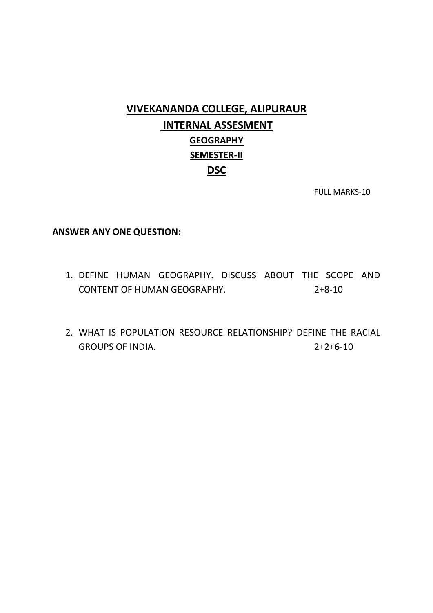## **VIVEKANANDA COLLEGE, ALIPURAUR INTERNAL ASSESMENT GEOGRAPHY SEMESTER-II DSC**

FULL MARKS-10

#### **ANSWER ANY ONE QUESTION:**

- 1. DEFINE HUMAN GEOGRAPHY. DISCUSS ABOUT THE SCOPE AND CONTENT OF HUMAN GEOGRAPHY. 2+8-10
- 2. WHAT IS POPULATION RESOURCE RELATIONSHIP? DEFINE THE RACIAL GROUPS OF INDIA. 2+2+6-10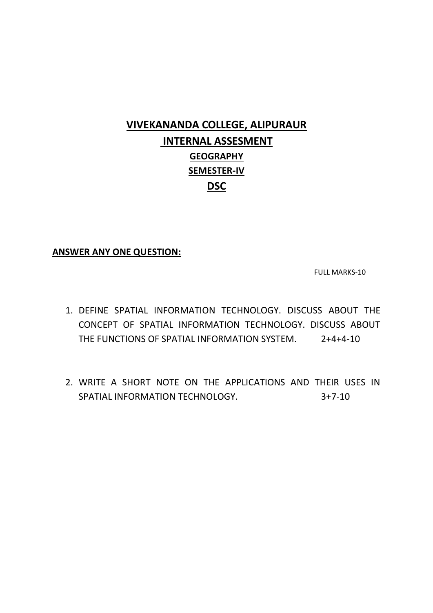# **VIVEKANANDA COLLEGE, ALIPURAUR INTERNAL ASSESMENT GEOGRAPHY SEMESTER-IV DSC**

### **ANSWER ANY ONE QUESTION:**

FULL MARKS-10

- 1. DEFINE SPATIAL INFORMATION TECHNOLOGY. DISCUSS ABOUT THE CONCEPT OF SPATIAL INFORMATION TECHNOLOGY. DISCUSS ABOUT THE FUNCTIONS OF SPATIAL INFORMATION SYSTEM. 2+4+4-10
- 2. WRITE A SHORT NOTE ON THE APPLICATIONS AND THEIR USES IN SPATIAL INFORMATION TECHNOLOGY. 3+7-10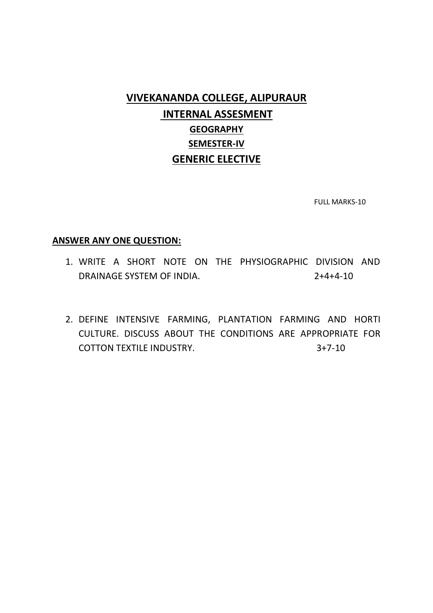### **VIVEKANANDA COLLEGE, ALIPURAUR INTERNAL ASSESMENT GEOGRAPHY SEMESTER-IV GENERIC ELECTIVE**

FULL MARKS-10

#### **ANSWER ANY ONE QUESTION:**

- 1. WRITE A SHORT NOTE ON THE PHYSIOGRAPHIC DIVISION AND DRAINAGE SYSTEM OF INDIA. 2+4+4-10
- 2. DEFINE INTENSIVE FARMING, PLANTATION FARMING AND HORTI CULTURE. DISCUSS ABOUT THE CONDITIONS ARE APPROPRIATE FOR COTTON TEXTILE INDUSTRY. 3+7-10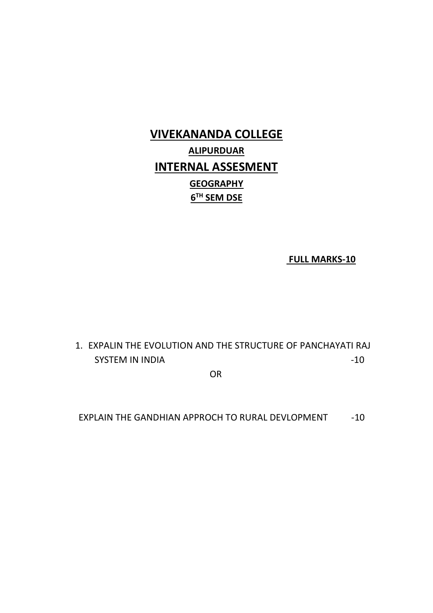# **VIVEKANANDA COLLEGE ALIPURDUAR INTERNAL ASSESMENT GEOGRAPHY 6 TH SEM DSE**

**FULL MARKS-10**

### 1. EXPALIN THE EVOLUTION AND THE STRUCTURE OF PANCHAYATI RAJ SYSTEM IN INDIA  $-10$

**OR** Service Service Service Service Service Service Service Service Service Service Service Service Service Service Service Service Service Service Service Service Service Service Service Service Service Service Service S

EXPLAIN THE GANDHIAN APPROCH TO RURAL DEVLOPMENT -10